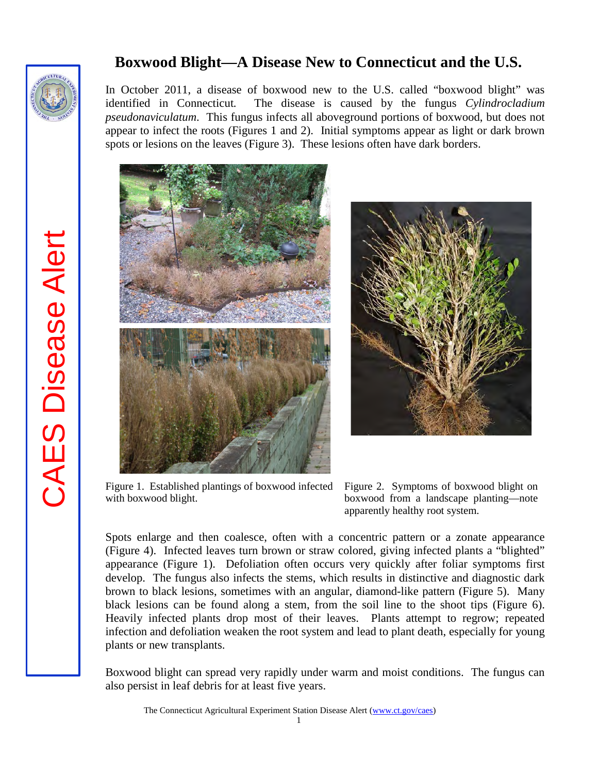

**CAES Disease Alert** CAES Disease Alert

## **Boxwood Blight—A Disease New to Connecticut and the U.S.**

In October 2011, a disease of boxwood new to the U.S. called "boxwood blight" was identified in Connecticut*.* The disease is caused by the fungus *Cylindrocladium pseudonaviculatum*. This fungus infects all aboveground portions of boxwood, but does not appear to infect the roots (Figures 1 and 2). Initial symptoms appear as light or dark brown spots or lesions on the leaves (Figure 3). These lesions often have dark borders.





Figure 1. Established plantings of boxwood infected Figure 2. Symptoms of boxwood blight on with boxwood blight.



Spots enlarge and then coalesce, often with a concentric pattern or a zonate appearance (Figure 4). Infected leaves turn brown or straw colored, giving infected plants a "blighted" appearance (Figure 1). Defoliation often occurs very quickly after foliar symptoms first develop. The fungus also infects the stems, which results in distinctive and diagnostic dark brown to black lesions, sometimes with an angular, diamond-like pattern (Figure 5). Many black lesions can be found along a stem, from the soil line to the shoot tips (Figure 6). Heavily infected plants drop most of their leaves. Plants attempt to regrow; repeated infection and defoliation weaken the root system and lead to plant death, especially for young plants or new transplants.

Boxwood blight can spread very rapidly under warm and moist conditions. The fungus can also persist in leaf debris for at least five years.